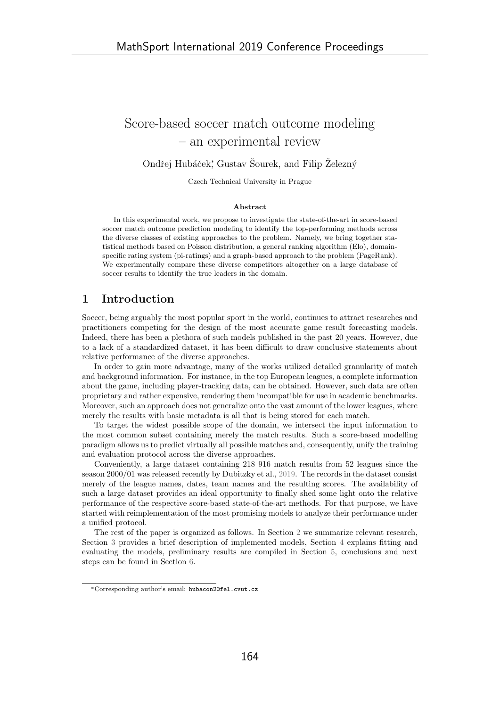# Score-based soccer match outcome modeling – an experimental review

Ondřej Hubáček<sup>\*</sup>, Gustav Šourek, and Filip Železný

Czech Technical University in Prague

#### Abstract

In this experimental work, we propose to investigate the state-of-the-art in score-based soccer match outcome prediction modeling to identify the top-performing methods across the diverse classes of existing approaches to the problem. Namely, we bring together statistical methods based on Poisson distribution, a general ranking algorithm (Elo), domainspecific rating system (pi-ratings) and a graph-based approach to the problem (PageRank). We experimentally compare these diverse competitors altogether on a large database of soccer results to identify the true leaders in the domain.

## 1 Introduction

Soccer, being arguably the most popular sport in the world, continues to attract researches and practitioners competing for the design of the most accurate game result forecasting models. Indeed, there has been a plethora of such models published in the past 20 years. However, due to a lack of a standardized dataset, it has been difficult to draw conclusive statements about relative performance of the diverse approaches.

In order to gain more advantage, many of the works utilized detailed granularity of match and background information. For instance, in the top European leagues, a complete information about the game, including player-tracking data, can be obtained. However, such data are often proprietary and rather expensive, rendering them incompatible for use in academic benchmarks. Moreover, such an approach does not generalize onto the vast amount of the lower leagues, where merely the results with basic metadata is all that is being stored for each match.

To target the widest possible scope of the domain, we intersect the input information to the most common subset containing merely the match results. Such a score-based modelling paradigm allows us to predict virtually all possible matches and, consequently, unify the training and evaluation protocol across the diverse approaches.

Conveniently, a large dataset containing 218 916 match results from 52 leagues since the season 2000/01 was released recently by Dubitzky et al., 2019. The records in the dataset consist merely of the league names, dates, team names and the resulting scores. The availability of such a large dataset provides an ideal opportunity to finally shed some light onto the relative performance of the respective score-based state-of-the-art methods. For that purpose, we have started with reimplementation of the most promising models to analyze their performance under a unified protocol.

The rest of the paper is organized as follows. In Section 2 we summarize relevant research, Section 3 provides a brief description of implemented models, Section 4 explains fitting and evaluating the models, preliminary results are compiled in Section 5, conclusions and next steps can be found in Section 6.

<sup>∗</sup>Corresponding author's email: hubacon2@fel.cvut.cz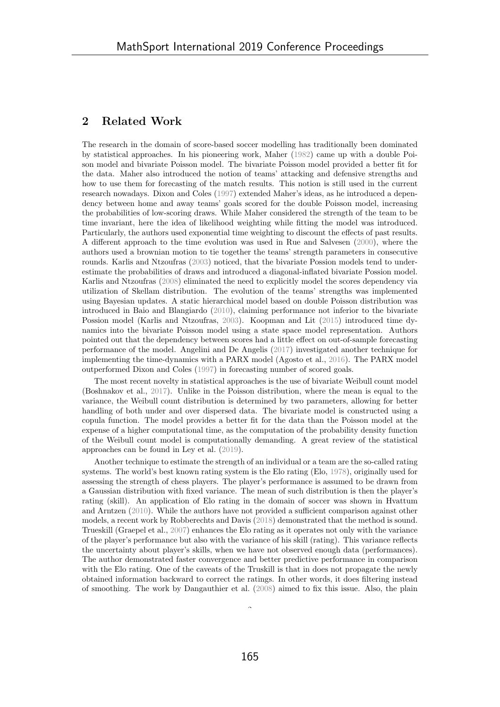## 2 Related Work

The research in the domain of score-based soccer modelling has traditionally been dominated by statistical approaches. In his pioneering work, Maher (1982) came up with a double Poison model and bivariate Poisson model. The bivariate Poisson model provided a better fit for the data. Maher also introduced the notion of teams' attacking and defensive strengths and how to use them for forecasting of the match results. This notion is still used in the current research nowadays. Dixon and Coles (1997) extended Maher's ideas, as he introduced a dependency between home and away teams' goals scored for the double Poisson model, increasing the probabilities of low-scoring draws. While Maher considered the strength of the team to be time invariant, here the idea of likelihood weighting while fitting the model was introduced. Particularly, the authors used exponential time weighting to discount the effects of past results. A different approach to the time evolution was used in Rue and Salvesen (2000), where the authors used a brownian motion to tie together the teams' strength parameters in consecutive rounds. Karlis and Ntzoufras (2003) noticed, that the bivariate Possion models tend to underestimate the probabilities of draws and introduced a diagonal-inflated bivariate Possion model. Karlis and Ntzoufras (2008) eliminated the need to explicitly model the scores dependency via utilization of Skellam distribution. The evolution of the teams' strengths was implemented using Bayesian updates. A static hierarchical model based on double Poisson distribution was introduced in Baio and Blangiardo (2010), claiming performance not inferior to the bivariate Possion model (Karlis and Ntzoufras, 2003). Koopman and Lit (2015) introduced time dynamics into the bivariate Poisson model using a state space model representation. Authors pointed out that the dependency between scores had a little effect on out-of-sample forecasting performance of the model. Angelini and De Angelis (2017) investigated another technique for implementing the time-dynamics with a PARX model (Agosto et al., 2016). The PARX model outperformed Dixon and Coles (1997) in forecasting number of scored goals.

The most recent novelty in statistical approaches is the use of bivariate Weibull count model (Boshnakov et al., 2017). Unlike in the Poisson distribution, where the mean is equal to the variance, the Weibull count distribution is determined by two parameters, allowing for better handling of both under and over dispersed data. The bivariate model is constructed using a copula function. The model provides a better fit for the data than the Poisson model at the expense of a higher computational time, as the computation of the probability density function of the Weibull count model is computationally demanding. A great review of the statistical approaches can be found in Ley et al. (2019).

Another technique to estimate the strength of an individual or a team are the so-called rating systems. The world's best known rating system is the Elo rating (Elo, 1978), originally used for assessing the strength of chess players. The player's performance is assumed to be drawn from a Gaussian distribution with fixed variance. The mean of such distribution is then the player's rating (skill). An application of Elo rating in the domain of soccer was shown in Hvattum and Arntzen (2010). While the authors have not provided a sufficient comparison against other models, a recent work by Robberechts and Davis (2018) demonstrated that the method is sound. Trueskill (Graepel et al., 2007) enhances the Elo rating as it operates not only with the variance of the player's performance but also with the variance of his skill (rating). This variance reflects the uncertainty about player's skills, when we have not observed enough data (performances). The author demonstrated faster convergence and better predictive performance in comparison with the Elo rating. One of the caveats of the Truskill is that in does not propagate the newly obtained information backward to correct the ratings. In other words, it does filtering instead of smoothing. The work by Dangauthier et al. (2008) aimed to fix this issue. Also, the plain

 $\tilde{a}$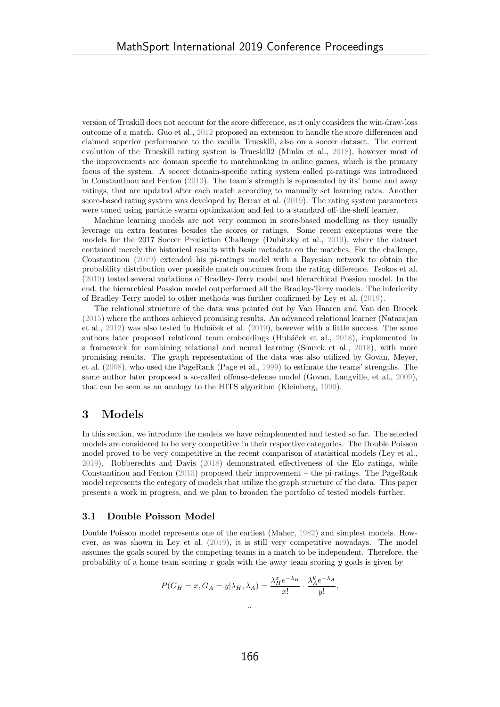version of Truskill does not account for the score difference, as it only considers the win-draw-loss outcome of a match. Guo et al., 2012 proposed an extension to handle the score differences and claimed superior performance to the vanilla Trueskill, also on a soccer dataset. The current evolution of the Trueskill rating system is Trueskill2 (Minka et al., 2018), however most of the improvements are domain specific to matchmaking in online games, which is the primary focus of the system. A soccer domain-specific rating system called pi-ratings was introduced in Constantinou and Fenton (2013). The team's strength is represented by its' home and away ratings, that are updated after each match according to manually set learning rates. Another score-based rating system was developed by Berrar et al. (2019). The rating system parameters were tuned using particle swarm optimization and fed to a standard off-the-shelf learner.

Machine learning models are not very common in score-based modelling as they usually leverage on extra features besides the scores or ratings. Some recent exceptions were the models for the 2017 Soccer Prediction Challenge (Dubitzky et al., 2019), where the dataset contained merely the historical results with basic metadata on the matches. For the challenge, Constantinou (2019) extended his pi-ratings model with a Bayesian network to obtain the probability distribution over possible match outcomes from the rating difference. Tsokos et al. (2019) tested several variations of Bradley-Terry model and hierarchical Possion model. In the end, the hierarchical Possion model outperformed all the Bradley-Terry models. The inferiority of Bradley-Terry model to other methods was further confirmed by Ley et al. (2019).

The relational structure of the data was pointed out by Van Haaren and Van den Broeck (2015) where the authors achieved promising results. An advanced relational learner (Natarajan et al.,  $2012$ ) was also tested in Hubáček et al.  $(2019)$ , however with a little success. The same authors later proposed relational team embeddings (Hubáček et al., 2018), implemented in a framework for combining relational and neural learning (Sourek et al., 2018), with more promising results. The graph representation of the data was also utilized by Govan, Meyer, et al. (2008), who used the PageRank (Page et al., 1999) to estimate the teams' strengths. The same author later proposed a so-called offense-defense model (Govan, Langville, et al., 2009), that can be seen as an analogy to the HITS algorithm (Kleinberg, 1999).

## 3 Models

In this section, we introduce the models we have reimplemented and tested so far. The selected models are considered to be very competitive in their respective categories. The Double Poisson model proved to be very competitive in the recent comparison of statistical models (Ley et al., 2019). Robberechts and Davis (2018) demonstrated effectiveness of the Elo ratings, while Constantinou and Fenton (2013) proposed their improvement – the pi-ratings. The PageRank model represents the category of models that utilize the graph structure of the data. This paper presents a work in progress, and we plan to broaden the portfolio of tested models further.

### 3.1 Double Poisson Model

Double Poisson model represents one of the earliest (Maher, 1982) and simplest models. However, as was shown in Ley et al. (2019), it is still very competitive nowadays. The model assumes the goals scored by the competing teams in a match to be independent. Therefore, the probability of a home team scoring x goals with the away team scoring y goals is given by

$$
P(G_H = x, G_A = y | \lambda_H, \lambda_A) = \frac{\lambda_H^x e^{-\lambda_H}}{x!} \cdot \frac{\lambda_A^y e^{-\lambda_A}}{y!},
$$

3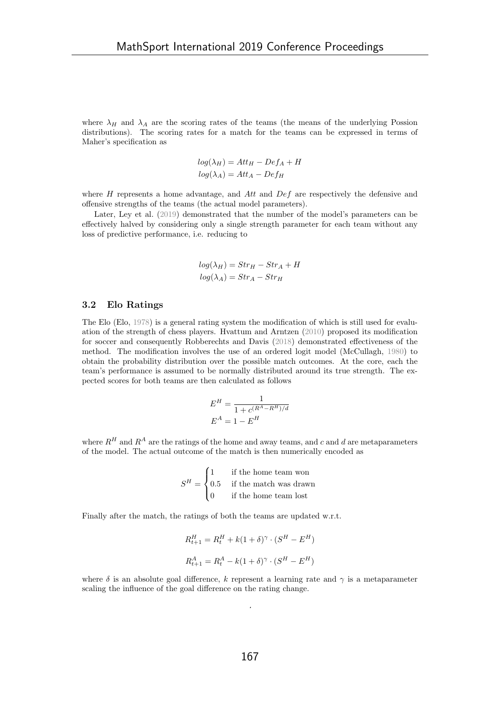where  $\lambda_H$  and  $\lambda_A$  are the scoring rates of the teams (the means of the underlying Possion distributions). The scoring rates for a match for the teams can be expressed in terms of Maher's specification as

$$
log(\lambda_H) = Att_H - Def_A + H
$$

$$
log(\lambda_A) = Att_A - Def_H
$$

where  $H$  represents a home advantage, and  $Att$  and  $Def$  are respectively the defensive and offensive strengths of the teams (the actual model parameters).

Later, Ley et al. (2019) demonstrated that the number of the model's parameters can be effectively halved by considering only a single strength parameter for each team without any loss of predictive performance, i.e. reducing to

$$
log(\lambda_H) = Str_H - Str_A + H
$$
  

$$
log(\lambda_A) = Str_A - Str_H
$$

#### 3.2 Elo Ratings

The Elo (Elo, 1978) is a general rating system the modification of which is still used for evaluation of the strength of chess players. Hvattum and Arntzen (2010) proposed its modification for soccer and consequently Robberechts and Davis (2018) demonstrated effectiveness of the method. The modification involves the use of an ordered logit model (McCullagh, 1980) to obtain the probability distribution over the possible match outcomes. At the core, each the team's performance is assumed to be normally distributed around its true strength. The expected scores for both teams are then calculated as follows

$$
E^H = \frac{1}{1 + c^{(R^A - R^H)/d}}
$$

$$
E^A = 1 - E^H
$$

where  $R^H$  and  $R^A$  are the ratings of the home and away teams, and c and d are metaparameters of the model. The actual outcome of the match is then numerically encoded as

$$
S^{H} = \begin{cases} 1 & \text{if the home team won} \\ 0.5 & \text{if the match was drawn} \\ 0 & \text{if the home team lost} \end{cases}
$$

Finally after the match, the ratings of both the teams are updated w.r.t.

$$
R_{t+1}^H = R_t^H + k(1+\delta)^\gamma \cdot (S^H - E^H)
$$
  

$$
R_{t+1}^A = R_t^A - k(1+\delta)^\gamma \cdot (S^H - E^H)
$$

where  $\delta$  is an absolute goal difference, k represent a learning rate and  $\gamma$  is a metaparameter scaling the influence of the goal difference on the rating change.

 $\ddot{\phantom{1}}$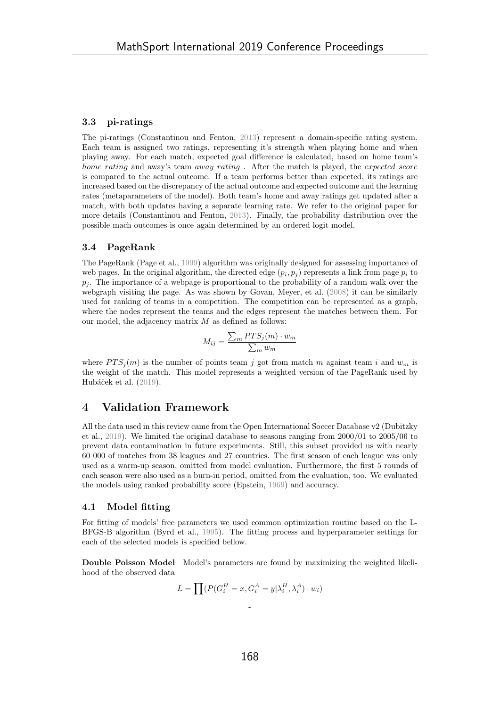#### 3.3 pi-ratings

The pi-ratings (Constantinou and Fenton, 2013) represent a domain-specific rating system. Each team is assigned two ratings, representing it's strength when playing home and when playing away. For each match, expected goal difference is calculated, based on home team's home rating and away's team away rating. After the match is played, the expected score is compared to the actual outcome. If a team performs better than expected, its ratings are increased based on the discrepancy of the actual outcome and expected outcome and the learning rates (metaparameters of the model). Both team's home and away ratings get updated after a match, with both updates having a separate learning rate. We refer to the original paper for more details (Constantinou and Fenton, 2013). Finally, the probability distribution over the possible mach outcomes is once again determined by an ordered logit model.

#### 3.4 PageRank

The PageRank (Page et al., 1999) algorithm was originally designed for assessing importance of web pages. In the original algorithm, the directed edge  $(p_i, p_j)$  represents a link from page  $p_i$  to  $p_i$ . The importance of a webpage is proportional to the probability of a random walk over the webgraph visiting the page. As was shown by Govan, Meyer, et al. (2008) it can be similarly used for ranking of teams in a competition. The competition can be represented as a graph, where the nodes represent the teams and the edges represent the matches between them. For our model, the adjacency matrix  $M$  as defined as follows:

$$
M_{ij} = \frac{\sum_{m} PTS_j(m) \cdot w_m}{\sum_{m} w_m}
$$

where  $PTS_i(m)$  is the number of points team j got from match m against team i and  $w_m$  is the weight of the match. This model represents a weighted version of the PageRank used by Hubáček et al.  $(2019)$ .

## 4 Validation Framework

All the data used in this review came from the Open International Soccer Database v2 (Dubitzky et al., 2019). We limited the original database to seasons ranging from 2000/01 to 2005/06 to prevent data contamination in future experiments. Still, this subset provided us with nearly 60 000 of matches from 38 leagues and 27 countries. The first season of each league was only used as a warm-up season, omitted from model evaluation. Furthermore, the first 5 rounds of each season were also used as a burn-in period, omitted from the evaluation, too. We evaluated the models using ranked probability score (Epstein, 1969) and accuracy.

#### 4.1 Model fitting

For fitting of models' free parameters we used common optimization routine based on the L-BFGS-B algorithm (Byrd et al., 1995). The fitting process and hyperparameter settings for each of the selected models is specified bellow.

Double Poisson Model Model's parameters are found by maximizing the weighted likelihood of the observed data

$$
L = \prod (P(G_i^H = x, G_i^A = y | \lambda_i^H, \lambda_i^A) \cdot w_i)
$$

 $\overline{a}$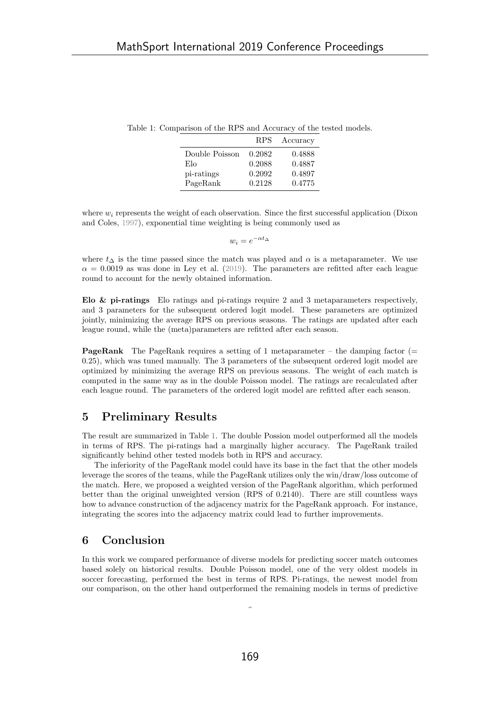|                |        | RPS Accuracy |
|----------------|--------|--------------|
| Double Poisson | 0.2082 | 0.4888       |
| Elo            | 0.2088 | 0.4887       |
| pi-ratings     | 0.2092 | 0.4897       |

PageRank 0.2128 0.4775

Table 1: Comparison of the RPS and Accuracy of the tested models.

where  $w_i$  represents the weight of each observation. Since the first successful application (Dixon and Coles, 1997), exponential time weighting is being commonly used as

$$
w_i = e^{-\alpha t_\Delta}
$$

where  $t_{\Delta}$  is the time passed since the match was played and  $\alpha$  is a metaparameter. We use  $\alpha = 0.0019$  as was done in Ley et al. (2019). The parameters are refitted after each league round to account for the newly obtained information.

Elo & pi-ratings Elo ratings and pi-ratings require 2 and 3 metaparameters respectively, and 3 parameters for the subsequent ordered logit model. These parameters are optimized jointly, minimizing the average RPS on previous seasons. The ratings are updated after each league round, while the (meta)parameters are refitted after each season.

**PageRank** The PageRank requires a setting of 1 metaparameter – the damping factor  $($ 0.25), which was tuned manually. The 3 parameters of the subsequent ordered logit model are optimized by minimizing the average RPS on previous seasons. The weight of each match is computed in the same way as in the double Poisson model. The ratings are recalculated after each league round. The parameters of the ordered logit model are refitted after each season.

## 5 Preliminary Results

The result are summarized in Table 1. The double Possion model outperformed all the models in terms of RPS. The pi-ratings had a marginally higher accuracy. The PageRank trailed significantly behind other tested models both in RPS and accuracy.

The inferiority of the PageRank model could have its base in the fact that the other models leverage the scores of the teams, while the PageRank utilizes only the win/draw/loss outcome of the match. Here, we proposed a weighted version of the PageRank algorithm, which performed better than the original unweighted version (RPS of 0.2140). There are still countless ways how to advance construction of the adjacency matrix for the PageRank approach. For instance, integrating the scores into the adjacency matrix could lead to further improvements.

## 6 Conclusion

In this work we compared performance of diverse models for predicting soccer match outcomes based solely on historical results. Double Poisson model, one of the very oldest models in soccer forecasting, performed the best in terms of RPS. Pi-ratings, the newest model from our comparison, on the other hand outperformed the remaining models in terms of predictive

Î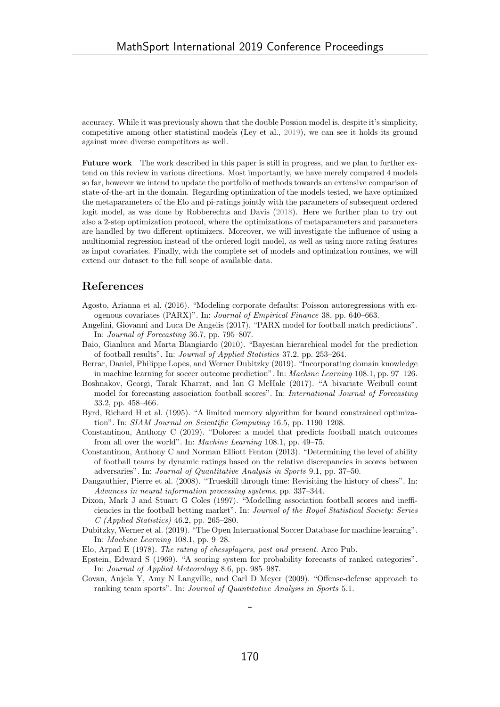accuracy. While it was previously shown that the double Possion model is, despite it's simplicity, competitive among other statistical models (Ley et al., 2019), we can see it holds its ground against more diverse competitors as well.

Future work The work described in this paper is still in progress, and we plan to further extend on this review in various directions. Most importantly, we have merely compared 4 models so far, however we intend to update the portfolio of methods towards an extensive comparison of state-of-the-art in the domain. Regarding optimization of the models tested, we have optimized the metaparameters of the Elo and pi-ratings jointly with the parameters of subsequent ordered logit model, as was done by Robberechts and Davis (2018). Here we further plan to try out also a 2-step optimization protocol, where the optimizations of metaparameters and parameters are handled by two different optimizers. Moreover, we will investigate the influence of using a multinomial regression instead of the ordered logit model, as well as using more rating features as input covariates. Finally, with the complete set of models and optimization routines, we will extend our dataset to the full scope of available data.

## References

- Agosto, Arianna et al. (2016). "Modeling corporate defaults: Poisson autoregressions with exogenous covariates (PARX)". In: Journal of Empirical Finance 38, pp. 640–663.
- Angelini, Giovanni and Luca De Angelis (2017). "PARX model for football match predictions". In: Journal of Forecasting 36.7, pp. 795–807.
- Baio, Gianluca and Marta Blangiardo (2010). "Bayesian hierarchical model for the prediction of football results". In: Journal of Applied Statistics 37.2, pp. 253–264.
- Berrar, Daniel, Philippe Lopes, and Werner Dubitzky (2019). "Incorporating domain knowledge in machine learning for soccer outcome prediction". In: Machine Learning 108.1, pp. 97–126.
- Boshnakov, Georgi, Tarak Kharrat, and Ian G McHale (2017). "A bivariate Weibull count model for forecasting association football scores". In: International Journal of Forecasting 33.2, pp. 458–466.
- Byrd, Richard H et al. (1995). "A limited memory algorithm for bound constrained optimization". In: SIAM Journal on Scientific Computing 16.5, pp. 1190–1208.
- Constantinou, Anthony C (2019). "Dolores: a model that predicts football match outcomes from all over the world". In: Machine Learning 108.1, pp. 49–75.
- Constantinou, Anthony C and Norman Elliott Fenton (2013). "Determining the level of ability of football teams by dynamic ratings based on the relative discrepancies in scores between adversaries". In: Journal of Quantitative Analysis in Sports 9.1, pp. 37–50.
- Dangauthier, Pierre et al. (2008). "Trueskill through time: Revisiting the history of chess". In: Advances in neural information processing systems, pp. 337–344.
- Dixon, Mark J and Stuart G Coles (1997). "Modelling association football scores and inefficiencies in the football betting market". In: Journal of the Royal Statistical Society: Series C (Applied Statistics) 46.2, pp. 265–280.
- Dubitzky, Werner et al. (2019). "The Open International Soccer Database for machine learning". In: Machine Learning 108.1, pp. 9–28.
- Elo, Arpad E (1978). The rating of chessplayers, past and present. Arco Pub.
- Epstein, Edward S (1969). "A scoring system for probability forecasts of ranked categories". In: Journal of Applied Meteorology 8.6, pp. 985–987.
- Govan, Anjela Y, Amy N Langville, and Carl D Meyer (2009). "Offense-defense approach to ranking team sports". In: Journal of Quantitative Analysis in Sports 5.1.

 $\overline{a}$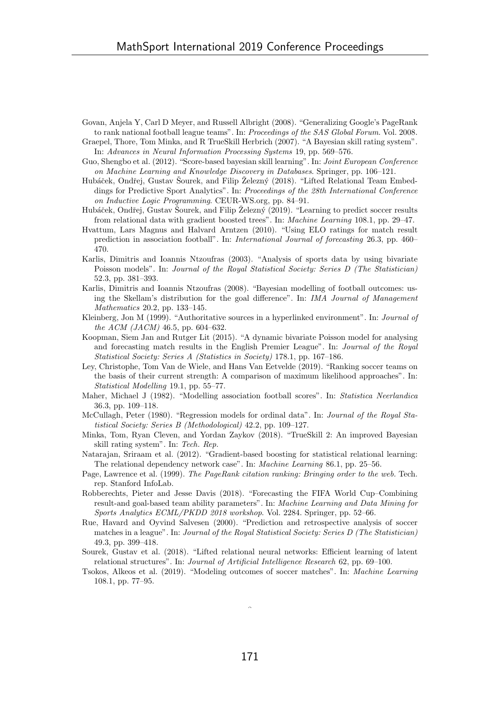- Govan, Anjela Y, Carl D Meyer, and Russell Albright (2008). "Generalizing Google's PageRank to rank national football league teams". In: Proceedings of the SAS Global Forum. Vol. 2008.
- Graepel, Thore, Tom Minka, and R TrueSkill Herbrich (2007). "A Bayesian skill rating system". In: Advances in Neural Information Processing Systems 19, pp. 569–576.
- Guo, Shengbo et al. (2012). "Score-based bayesian skill learning". In: Joint European Conference on Machine Learning and Knowledge Discovery in Databases. Springer, pp. 106–121.
- Hubáček, Ondřej, Gustav Šourek, and Filip Železný (2018). "Lifted Relational Team Embeddings for Predictive Sport Analytics". In: Proceedings of the 28th International Conference on Inductive Logic Programming. CEUR-WS.org, pp. 84–91.
- Hubáček, Ondřej, Gustav Šourek, and Filip Železný (2019). "Learning to predict soccer results from relational data with gradient boosted trees". In: Machine Learning 108.1, pp. 29–47.
- Hvattum, Lars Magnus and Halvard Arntzen (2010). "Using ELO ratings for match result prediction in association football". In: International Journal of forecasting 26.3, pp. 460– 470.
- Karlis, Dimitris and Ioannis Ntzoufras (2003). "Analysis of sports data by using bivariate Poisson models". In: Journal of the Royal Statistical Society: Series D (The Statistician) 52.3, pp. 381–393.
- Karlis, Dimitris and Ioannis Ntzoufras (2008). "Bayesian modelling of football outcomes: using the Skellam's distribution for the goal difference". In: IMA Journal of Management Mathematics 20.2, pp. 133–145.
- Kleinberg, Jon M (1999). "Authoritative sources in a hyperlinked environment". In: Journal of the ACM (JACM) 46.5, pp. 604–632.
- Koopman, Siem Jan and Rutger Lit (2015). "A dynamic bivariate Poisson model for analysing and forecasting match results in the English Premier League". In: Journal of the Royal Statistical Society: Series A (Statistics in Society) 178.1, pp. 167–186.
- Ley, Christophe, Tom Van de Wiele, and Hans Van Eetvelde (2019). "Ranking soccer teams on the basis of their current strength: A comparison of maximum likelihood approaches". In: Statistical Modelling 19.1, pp. 55–77.
- Maher, Michael J (1982). "Modelling association football scores". In: Statistica Neerlandica 36.3, pp. 109–118.
- McCullagh, Peter (1980). "Regression models for ordinal data". In: Journal of the Royal Statistical Society: Series B (Methodological) 42.2, pp. 109–127.
- Minka, Tom, Ryan Cleven, and Yordan Zaykov (2018). "TrueSkill 2: An improved Bayesian skill rating system". In: Tech. Rep.
- Natarajan, Sriraam et al. (2012). "Gradient-based boosting for statistical relational learning: The relational dependency network case". In: Machine Learning 86.1, pp. 25–56.
- Page, Lawrence et al. (1999). The PageRank citation ranking: Bringing order to the web. Tech. rep. Stanford InfoLab.
- Robberechts, Pieter and Jesse Davis (2018). "Forecasting the FIFA World Cup–Combining result-and goal-based team ability parameters". In: Machine Learning and Data Mining for Sports Analytics ECML/PKDD 2018 workshop. Vol. 2284. Springer, pp. 52–66.
- Rue, Havard and Oyvind Salvesen (2000). "Prediction and retrospective analysis of soccer matches in a league". In: Journal of the Royal Statistical Society: Series D (The Statistician) 49.3, pp. 399–418.
- Sourek, Gustav et al. (2018). "Lifted relational neural networks: Efficient learning of latent relational structures". In: Journal of Artificial Intelligence Research 62, pp. 69–100.
- Tsokos, Alkeos et al. (2019). "Modeling outcomes of soccer matches". In: Machine Learning 108.1, pp. 77–95.

Î